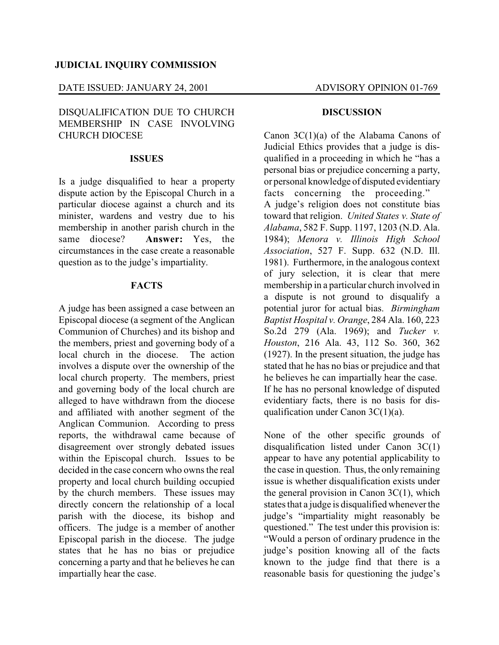### **JUDICIAL INQUIRY COMMISSION**

#### DATE ISSUED: JANUARY 24, 2001 ADVISORY OPINION 01-769

# DISQUALIFICATION DUE TO CHURCH MEMBERSHIP IN CASE INVOLVING CHURCH DIOCESE

### **ISSUES**

Is a judge disqualified to hear a property dispute action by the Episcopal Church in a particular diocese against a church and its minister, wardens and vestry due to his membership in another parish church in the same diocese? **Answer:** Yes, the circumstances in the case create a reasonable question as to the judge's impartiality.

#### **FACTS**

A judge has been assigned a case between an Episcopal diocese (a segment of the Anglican Communion of Churches) and its bishop and the members, priest and governing body of a local church in the diocese. The action involves a dispute over the ownership of the local church property. The members, priest and governing body of the local church are alleged to have withdrawn from the diocese and affiliated with another segment of the Anglican Communion. According to press reports, the withdrawal came because of disagreement over strongly debated issues within the Episcopal church. Issues to be decided in the case concern who owns the real property and local church building occupied by the church members. These issues may directly concern the relationship of a local parish with the diocese, its bishop and officers. The judge is a member of another Episcopal parish in the diocese. The judge states that he has no bias or prejudice concerning a party and that he believes he can impartially hear the case.

#### **DISCUSSION**

Canon 3C(1)(a) of the Alabama Canons of Judicial Ethics provides that a judge is disqualified in a proceeding in which he "has a personal bias or prejudice concerning a party, or personal knowledge of disputed evidentiary facts concerning the proceeding." A judge's religion does not constitute bias toward that religion. *United States v. State of Alabama*, 582 F. Supp. 1197, 1203 (N.D. Ala. 1984); *Menora v. Illinois High School Association*, 527 F. Supp. 632 (N.D. Ill. 1981). Furthermore, in the analogous context of jury selection, it is clear that mere membership in a particular church involved in a dispute is not ground to disqualify a potential juror for actual bias. *Birmingham Baptist Hospital v. Orange*, 284 Ala. 160, 223 So.2d 279 (Ala. 1969); and *Tucker v. Houston*, 216 Ala. 43, 112 So. 360, 362 (1927). In the present situation, the judge has stated that he has no bias or prejudice and that he believes he can impartially hear the case. If he has no personal knowledge of disputed evidentiary facts, there is no basis for disqualification under Canon 3C(1)(a).

None of the other specific grounds of disqualification listed under Canon 3C(1) appear to have any potential applicability to the case in question. Thus, the only remaining issue is whether disqualification exists under the general provision in Canon  $3C(1)$ , which states that a judge is disqualified whenever the judge's "impartiality might reasonably be questioned." The test under this provision is: "Would a person of ordinary prudence in the judge's position knowing all of the facts known to the judge find that there is a reasonable basis for questioning the judge's